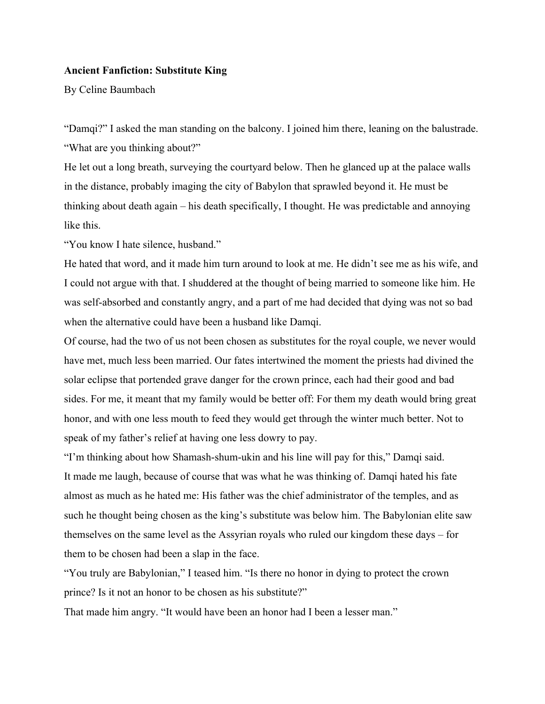## **Ancient Fanfiction: Substitute King**

By Celine Baumbach

"Damqi?" I asked the man standing on the balcony. I joined him there, leaning on the balustrade. "What are you thinking about?"

He let out a long breath, surveying the courtyard below. Then he glanced up at the palace walls in the distance, probably imaging the city of Babylon that sprawled beyond it. He must be thinking about death again – his death specifically, I thought. He was predictable and annoying like this.

"You know I hate silence, husband."

He hated that word, and it made him turn around to look at me. He didn't see me as his wife, and I could not argue with that. I shuddered at the thought of being married to someone like him. He was self-absorbed and constantly angry, and a part of me had decided that dying was not so bad when the alternative could have been a husband like Damqi.

Of course, had the two of us not been chosen as substitutes for the royal couple, we never would have met, much less been married. Our fates intertwined the moment the priests had divined the solar eclipse that portended grave danger for the crown prince, each had their good and bad sides. For me, it meant that my family would be better off: For them my death would bring great honor, and with one less mouth to feed they would get through the winter much better. Not to speak of my father's relief at having one less dowry to pay.

"I'm thinking about how Shamash-shum-ukin and his line will pay for this," Damqi said. It made me laugh, because of course that was what he was thinking of. Damqi hated his fate almost as much as he hated me: His father was the chief administrator of the temples, and as such he thought being chosen as the king's substitute was below him. The Babylonian elite saw themselves on the same level as the Assyrian royals who ruled our kingdom these days – for them to be chosen had been a slap in the face.

"You truly are Babylonian," I teased him. "Is there no honor in dying to protect the crown prince? Is it not an honor to be chosen as his substitute?"

That made him angry. "It would have been an honor had I been a lesser man."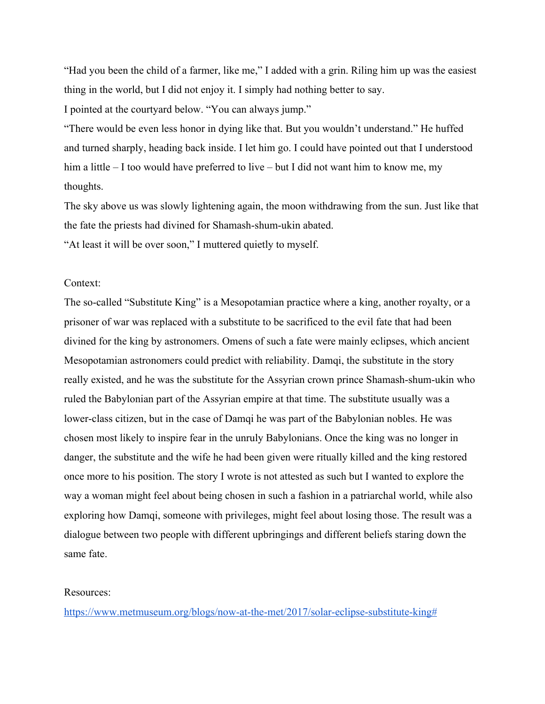"Had you been the child of a farmer, like me," I added with a grin. Riling him up was the easiest thing in the world, but I did not enjoy it. I simply had nothing better to say.

I pointed at the courtyard below. "You can always jump."

"There would be even less honor in dying like that. But you wouldn't understand." He huffed and turned sharply, heading back inside. I let him go. I could have pointed out that I understood him a little – I too would have preferred to live – but I did not want him to know me, my thoughts.

The sky above us was slowly lightening again, the moon withdrawing from the sun. Just like that the fate the priests had divined for Shamash-shum-ukin abated.

"At least it will be over soon," I muttered quietly to myself.

## Context:

The so-called "Substitute King" is a Mesopotamian practice where a king, another royalty, or a prisoner of war was replaced with a substitute to be sacrificed to the evil fate that had been divined for the king by astronomers. Omens of such a fate were mainly eclipses, which ancient Mesopotamian astronomers could predict with reliability. Damqi, the substitute in the story really existed, and he was the substitute for the Assyrian crown prince Shamash-shum-ukin who ruled the Babylonian part of the Assyrian empire at that time. The substitute usually was a lower-class citizen, but in the case of Damqi he was part of the Babylonian nobles. He was chosen most likely to inspire fear in the unruly Babylonians. Once the king was no longer in danger, the substitute and the wife he had been given were ritually killed and the king restored once more to his position. The story I wrote is not attested as such but I wanted to explore the way a woman might feel about being chosen in such a fashion in a patriarchal world, while also exploring how Damqi, someone with privileges, might feel about losing those. The result was a dialogue between two people with different upbringings and different beliefs staring down the same fate.

## Resources:

<https://www.metmuseum.org/blogs/now-at-the-met/2017/solar-eclipse-substitute-king#>